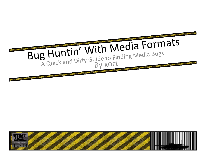

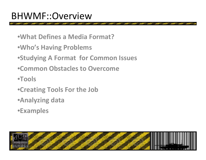- •**What Definesa Media Format?**
- •**Who's Having Problems**
- •**Studying A Format for Common Issues**
- •**Common Obstacles to Overcome**
- •**Tools**
- •**Creating Tools For the Job**
- •**Analyzing data**
- •**Examples**

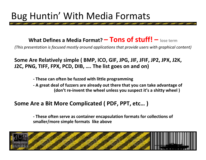## Bug Huntin' With Media Formats

#### **What Defines a Media Format? – Tons of stuff! – lose term**

*(This presentation is focused mostly around applications that provide users with graphical content)*

#### **Some Are Relatively simple ( BMP, ICO, GIF, JPG, JIF, JFIF, JP2, JPX, J2K, J2C, PNG, TIFF, FPX, PCD, DIB, …. The list goes on and on)**

- **‐ These can often be fuzzed with little programming**
- **‐ A great deal of fuzzers are already out there that you can take advantage of (don't re‐invent the wheel unless you suspect it's <sup>a</sup> shitty wheel )**

#### **Some Are <sup>a</sup> Bit More Complicated ( PDF, PPT, etc… )**

**‐ These often serve as container encapsulation formats for collections of smaller/more simple formats like above**

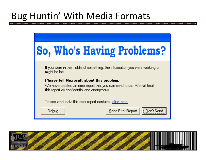## Bug Huntin' With Media Formats



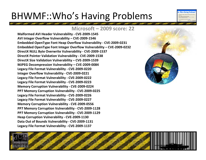# BHWMF::Who's Having Problems

#### **Microsoft – 2009 score: 22**

**Malformed AVI Header Vulnerability ‐ CVE‐2009‐1545 AVI Integer Overflow Vulnerability – CVE‐2009‐1546 Embedded OpenType Font Heap Overflow Vulnerability ‐ CVE‐2009‐0231 Embedded OpenType Font Integer Overflow Vulnerability – CVE‐2009‐0232 DirectX NULL Byte Overwrite Vulnerability ‐ CVE‐2009‐1537 DirectX Pointer Validation Vulnerability ‐ CVE‐2009‐1538 DirectX Size Validation Vulnerability – CVE‐2009‐1539 MJPEG Decompression Vulnerability – CVE‐2009‐0084 Legacy File Format Vulnerability ‐ CVE‐2009‐0220 Integer Overflow Vulnerability ‐ CVE‐2009‐0221 Legacy File Format Vulnerability ‐ CVE‐2009‐0222 Legacy File Format Vulnerability ‐ CVE‐2009‐0223 Memory Corruption Vulnerability ‐ CVE‐2009‐0224 PP7 Memory Corruption Vulnerability ‐ CVE‐2009‐0225 Legacy File Format Vulnerability ‐ CVE‐2009‐0226 Legacy File Format Vulnerability ‐ CVE‐2009‐0227 Memory Corruption Vulnerability ‐ CVE‐2009‐0556 PP7 Memory Corruption Vulnerability ‐ CVE‐2009‐1128 PP7 Memory Corruption Vulnerability ‐ CVE‐2009‐1129 Heap Corruption Vulnerability ‐ CVE‐2009‐1130 Data Out of Bounds Vulnerability ‐ CVE‐2009‐1131 Legacy File Format Vulnerability ‐ CVE‐2009‐1137**



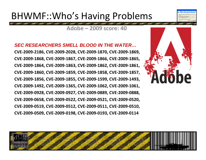## BHWMF::Who's Having Problems

#### **Adobe – 2009 score: 40**

*SEC RESEARCHERS SMELL BLOOD IN THE WATER…***CVE‐2009‐2186, CVE‐2009‐2028, CVE‐2009‐1870, CVE‐2009‐1869, CVE‐2009‐1868, CVE‐2009‐1867, CVE‐2009‐1866, CVE‐2009‐1865, CVE‐2009‐1864, CVE‐2009‐1863, CVE‐2009‐1862, CVE‐2009‐1861, CVE‐2009‐1860, CVE‐2009‐1859, CVE‐2009‐1858, CVE‐2009‐1857, CVE‐2009‐1856, CVE‐2009‐1855, CVE‐2009‐1599, CVE‐2009‐1493, CVE‐2009‐1492, CVE‐2009‐1365, CVE‐2009‐1062, CVE‐2009‐1061, CVE‐2009‐0928, CVE‐2009‐0927, CVE‐2009‐0889, CVE‐2009‐0888, CVE‐2009‐0658, CVE‐2009‐0522, CVE‐2009‐0521, CVE‐2009‐0520, CVE‐2009‐0519, CVE‐2009‐0512, CVE‐2009‐0511, CVE‐2009‐0510, CVE‐2009‐0509, CVE‐2009‐0198, CVE‐2009‐0193, CVE‐2009‐0114**



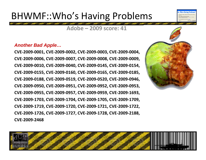## BHWMF::Who's Having Problems

**Adobe – 2009 score: 41**

#### *Another Bad Apple…*

**CVE‐2009‐0001, CVE‐2009‐0002, CVE‐2009‐0003, CVE‐2009‐0004, CVE‐2009‐0006, CVE‐2009‐0007, CVE‐2009‐0008, CVE‐2009‐0009, CVE‐2009‐0010, CVE‐2009‐0040, CVE‐2009‐0145, CVE‐2009‐0154, CVE‐2009‐0155, CVE‐2009‐0160, CVE‐2009‐0165, CVE‐2009‐0185, CVE‐2009‐0188, CVE‐2009‐0519, CVE‐2009‐0520, CVE‐2009‐0946, CVE‐2009‐0950, CVE‐2009‐0951, CVE‐2009‐0952, CVE‐2009‐0953, CVE‐2009‐0955, CVE‐2009‐0957, CVE‐2009‐0959, CVE‐2009‐1693, CVE‐2009‐1703, CVE‐2009‐1704, CVE‐2009‐1705, CVE‐2009‐1709, CVE‐2009‐1719, CVE‐2009‐1720, CVE‐2009‐1721, CVE‐2009‐1722, CVE‐2009‐1726, CVE‐2009‐1727, CVE‐2009‐1728, CVE‐2009‐2188, CVE‐2009‐2468**



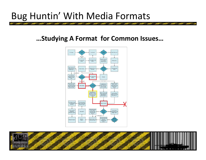## Bug Huntin' With Media Formats

#### **…Studying A Format for Common Issues…**



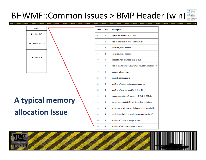### BHWMF::Common Issues > BMP Header (win)





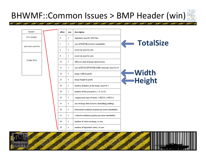### BHWMF::Common Issues > BMP Header (win)



header info header optional palette image data

| offset | size | description                                            |   |
|--------|------|--------------------------------------------------------|---|
| 0      | 2    | signature, must be 4D42 hex                            |   |
| 2      | 4    | size of BMP file in bytes (unreliable)                 |   |
| 6      | 2    | reserved, must be zero                                 |   |
| 8      | 2    | reserved, must be zero                                 |   |
| 10     | 4    | offset to start of image data in bytes                 |   |
| 14     | 4    | size of BITMAPINFOHEADER structure, must be 40         |   |
| 18     | 4    | image width in pixels                                  |   |
| 22     | 4    | image height in pixels                                 | C |
| 26     | 2    | number of planes in the image, must be 1               |   |
| 28     | 2    | number of bits per pixel (1, 4, 8, or 24)              |   |
| 30     | 4    | compression type (0=none, 1=RLE-8, 2=RLE-4)            |   |
| 34     | 4    | size of image data in bytes (including padding)        |   |
| 38     | 4    | horizontal resolution in pixels per meter (unreliable) |   |
| 42     | 4    | vertical resolution in pixels per meter (unreliable)   |   |
| 46     | 4    | number of colors in image, or zero                     |   |
| 50     | 4    | number of important colors, or zero                    |   |



**Width Height**

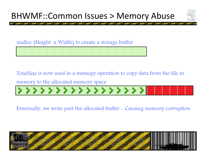

malloc (Height x Width) to create a storage buffer

TotalSize is now used in a memcpy operation to copy data from the file in

memory to the allocated memory space

>>>>>>>>>>>>>>>>>>>

Eventually, we write past the allocated buffer - Causing memory corruption.

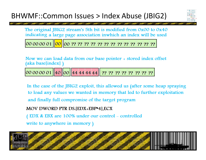

The original JBIG2 stream's 5th bit is modified from 0x00 to 0x40 indicating a large page association inwhich an index will be used

Now we can load data from our base pointer + stored index offset (aka base[index])

 $|00|00|00|01$  40 00 44 44 44 44 17 77 77 77 77 77 77 77 77

In the case of the JBIG2 exploit, this allowed us (after some heap spraying to load any values we wanted in memory that led to further exploitation and finally full compromise of the target program

MOV DWORD PTR DS. [EDX+EBP\*4], ECX

(EDX & EBX are 100% under our control – controlled

write to anywhere in memory)

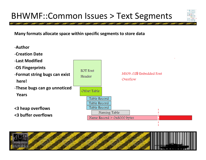### BHWMF::Common Issues > Text Segments



**Many formats allocate space within specific segments to store data**



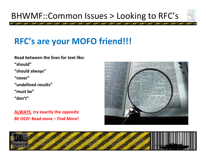### BHWMF::Common Issues > Looking to RFC's



## **RFC's are your MOFO friend!!!**

#### **Read between the lines for text like:**

**"should"**

**"should always"**

**"never"**

**"undefined results"**

**"must be"**

**"don't"**

**ALWAYS try exactly the opposite BE OCD! Read more – Find More!**



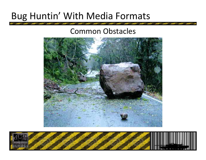## Bug Huntin' With Media Formats

#### Common Obstacles



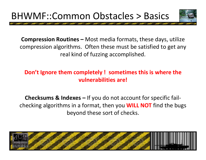

**Compression Routines –** Most media formats, these days, utilize compression algorithms. Often these must be satisfied to get any real kind of fuzzing accomplished.

#### **Don't Ignore them completely ! sometimes this is where the vulnerabilities are!**

**Checksums & Indexes –**– If you do not account for specific fail ‐ checking algorithms in a format, then you **WILL NOT** find the bugs beyond these sort of checks.

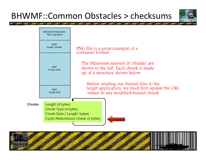### BHWMF::Common Obstacles> checksums





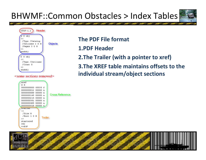### BHWMF::Common Obstacles> Index Tables





#### <some sections removed>



#### **The PDF File format**

- **1.PDF Header**
- **2.The Trailer (with a pointer to xref)**
- **3.The XREF table maintains offsets to the individual stream/object sections**

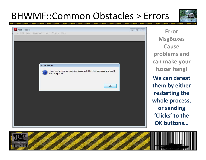# BHWMF::Common Obstacles> Errors



| Adobe Reader<br>File Edit View Document Tools Window Help |                                                                                          | $\Box$<br> 23 |
|-----------------------------------------------------------|------------------------------------------------------------------------------------------|---------------|
|                                                           |                                                                                          |               |
|                                                           |                                                                                          |               |
|                                                           |                                                                                          |               |
|                                                           | Adobe Reader                                                                             |               |
|                                                           | There was an error opening this document. The file is damaged and could not be repaired. |               |
|                                                           |                                                                                          |               |
|                                                           | OK                                                                                       |               |
|                                                           |                                                                                          |               |
|                                                           |                                                                                          |               |
|                                                           |                                                                                          |               |
|                                                           |                                                                                          |               |
|                                                           |                                                                                          |               |

**ErrorMsgBoxes Causeproblems and can make your fuzzer hang! We can defeat them by either restarting the whole process, or sending 'Clicks' to the OK buttons…**

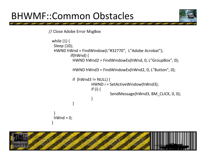# BHWMF::Common Obstacles



// Close Adobe Error MsgBox

```
while (1) {
Sleep (10);
 HWND hWnd = FindWindow(L"#32770", L"Adobe Acrobat");
         if(hWnd) {
           HWND hWnd2
= FindWindowEx(hWnd, 0, L"GroupBox", 0);
           HWND hWnd3
= FindWindowEx(hWnd2, 0, L"Button", 0);
          if (hWnd3 != NULL) {
                    HWND i = SetActiveWindow(hWnd3);
                    if (i) {
                              SendMessage(hWnd3, BM_CLICK, 0, 0);
                    }
          }
}
 hWnd = 0;
}
```
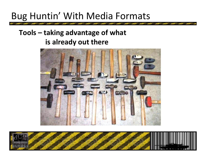## Bug Huntin' With Media Formats

#### **Tools – taking advantage of what is already out there**



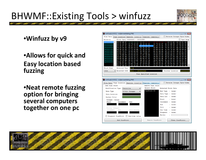# BHWMF::Existing Tools > winfuzz



•**Winfuzz by v9**

#### •**Allows for quick and Easy location based fuzzing**

•**Neat remote fuzzing option for bringing several computers together on one pc**

| winFuzz[v1.0.0.1] - nullptrcrashdialog.PNG<br>- 0 X                                                                                                                                                                                                                                                                                         |                                     |                                                                                                                                                                                |                                                                                                                                                                                  |                                                                                                                                                                            |                                                                                                                                                                                                        |                                                                                                                                                                                       |
|---------------------------------------------------------------------------------------------------------------------------------------------------------------------------------------------------------------------------------------------------------------------------------------------------------------------------------------------|-------------------------------------|--------------------------------------------------------------------------------------------------------------------------------------------------------------------------------|----------------------------------------------------------------------------------------------------------------------------------------------------------------------------------|----------------------------------------------------------------------------------------------------------------------------------------------------------------------------|--------------------------------------------------------------------------------------------------------------------------------------------------------------------------------------------------------|---------------------------------------------------------------------------------------------------------------------------------------------------------------------------------------|
| File Data Fuzz Location Execute (locally) Execute (remotely)                                                                                                                                                                                                                                                                                |                                     |                                                                                                                                                                                |                                                                                                                                                                                  |                                                                                                                                                                            |                                                                                                                                                                                                        | Reverse Integer Byte-Order                                                                                                                                                            |
| Block(s)                                                                                                                                                                                                                                                                                                                                    | Block Data [00000000 - 000003FF]    |                                                                                                                                                                                |                                                                                                                                                                                  |                                                                                                                                                                            |                                                                                                                                                                                                        | <b>Text Mode</b>                                                                                                                                                                      |
| 0x00000000 A<br>89 50 4E 47<br>0x00000400<br>08 02 00 00<br>0x00000800<br>00 04 67 41<br>0x00000C00<br>0x00001000<br>3A 98 00 00<br>0x00001400<br>SC C5 79 C7<br>0x00001800<br>05 85 18 87<br>0x00001C00<br>24 76 6E F9<br>0x00002000<br>58 45 40 9D<br>0x00002400<br>D9 9D 9D 3B<br>0x00002800<br>67 76 CF EE<br>0x00002C00<br>89 A5 E2 F1 | 7A 26 00 00<br>DO 96 A6             | 0D 0A 1A 0A<br>00 7D 2C 0C<br>4D 41 00 00<br>80 84 00 00<br>17 70 9C BA<br>CF F5 B5 EF<br>92 26 69 09<br>69<br>20 22 62 1C<br>2F CF CC 79<br><b>BE 25 C6 BF</b><br>E4 78 B2 78 | 00 00 00 0D<br>BE 00 00 00<br>B1 8F OB FC<br>FA 00 00 00<br>51 3C 00 00<br>35 FE DO OF<br>0A 14 AE 31<br>14 D7 4E DA<br>43 2E 85 00<br>DD B3 67 FF<br>4B 1E 1F 1B<br>3C 99 3F 4E | 49 48<br>01 73 52 47<br>61 05 00 00<br>80 E8 00 00<br>2C AD 49 44<br>A5 41 6E 2A<br>C6 90 4B 63<br>OF AO 56 84<br>OE D8 C0 4D<br>D6 08 F6 9E<br>1B A7 6B E9<br>FF 1D 1B 1F | 00 01 A3<br>0 <sub>0</sub><br>42 00 AE CE<br>00 20 63 48<br>75 30 00 00<br>41 54 78 5E<br>68 13 08 55<br>2B D4 45 20<br>DA 26 BA 22<br>4D OC C1 F6<br>9D 79 E6 99<br><b>B1 49 F1 CC</b><br>4F 8F A7 C9 | 00 00 01 08<br>1C E9 00 00<br>52 4D 00 00<br>Ξ<br>EA 60 00 00<br>ED 9D 6D AC<br>4B 48 31 F4<br>48 D4 A8 D0<br>55 94 36 42<br>B5 4F 9F D9<br>FF 3C F3 9B<br>F8 58 F7 F9<br>FC 89 64 D1 |
| A2 64 51 92                                                                                                                                                                                                                                                                                                                                 | 38 4C 4B 05 52 3D 8C E9 F1 F1 05 C2 | 9C E8 19 9A                                                                                                                                                                    | <b>A7 3F FO AF</b>                                                                                                                                                               | 06 05 C4 34<br>1C 91 7F D1                                                                                                                                                 | E1 5F 85 0A                                                                                                                                                                                            | BC 1D AD DO<br>44 4C 24 47 E7 93 89 OE                                                                                                                                                |
| Block Size                                                                                                                                                                                                                                                                                                                                  | Selected Text<br>±ü                 |                                                                                                                                                                                |                                                                                                                                                                                  |                                                                                                                                                                            |                                                                                                                                                                                                        |                                                                                                                                                                                       |
| 1024                                                                                                                                                                                                                                                                                                                                        | Selected Info                       | $32bit = 2978941948$                                                                                                                                                           |                                                                                                                                                                                  |                                                                                                                                                                            | Pointer Location                                                                                                                                                                                       | 0x00000038                                                                                                                                                                            |
|                                                                                                                                                                                                                                                                                                                                             |                                     |                                                                                                                                                                                | Fuzz Specified Location                                                                                                                                                          |                                                                                                                                                                            |                                                                                                                                                                                                        |                                                                                                                                                                                       |
|                                                                                                                                                                                                                                                                                                                                             |                                     |                                                                                                                                                                                |                                                                                                                                                                                  |                                                                                                                                                                            |                                                                                                                                                                                                        |                                                                                                                                                                                       |
| winFuzz[v1.0.0.1] - nullptrcrashdialog.PNG                                                                                                                                                                                                                                                                                                  |                                     |                                                                                                                                                                                |                                                                                                                                                                                  |                                                                                                                                                                            |                                                                                                                                                                                                        | $   \sqrt{x}$                                                                                                                                                                         |
| Reverse Integer Byte-Order<br>Fuzz Location Execute (locally)<br>Execute (remotely)<br><b>File Data</b>                                                                                                                                                                                                                                     |                                     |                                                                                                                                                                                |                                                                                                                                                                                  |                                                                                                                                                                            |                                                                                                                                                                                                        |                                                                                                                                                                                       |
|                                                                                                                                                                                                                                                                                                                                             |                                     |                                                                                                                                                                                |                                                                                                                                                                                  |                                                                                                                                                                            |                                                                                                                                                                                                        |                                                                                                                                                                                       |
| Add Fuzz Point                                                                                                                                                                                                                                                                                                                              |                                     |                                                                                                                                                                                |                                                                                                                                                                                  | Remove Fuzz Point                                                                                                                                                          |                                                                                                                                                                                                        |                                                                                                                                                                                       |
| Modification Type                                                                                                                                                                                                                                                                                                                           | Overwrite                           | ▼                                                                                                                                                                              | Select Point                                                                                                                                                                     |                                                                                                                                                                            | Selected Point Data                                                                                                                                                                                    |                                                                                                                                                                                       |
| Data Type                                                                                                                                                                                                                                                                                                                                   | 16-bit Integer                      |                                                                                                                                                                                | fuzzPoint #1                                                                                                                                                                     |                                                                                                                                                                            | Mod Type : (none)                                                                                                                                                                                      |                                                                                                                                                                                       |
| Data Location                                                                                                                                                                                                                                                                                                                               |                                     |                                                                                                                                                                                |                                                                                                                                                                                  |                                                                                                                                                                            | Data Type : (none)                                                                                                                                                                                     |                                                                                                                                                                                       |
| Marker Color                                                                                                                                                                                                                                                                                                                                |                                     |                                                                                                                                                                                |                                                                                                                                                                                  |                                                                                                                                                                            | Data Loc<br>$\therefore$ (none)                                                                                                                                                                        |                                                                                                                                                                                       |
| Integer (value)                                                                                                                                                                                                                                                                                                                             |                                     |                                                                                                                                                                                |                                                                                                                                                                                  |                                                                                                                                                                            | Start<br>: (none)                                                                                                                                                                                      |                                                                                                                                                                                       |
| Start                                                                                                                                                                                                                                                                                                                                       | Increment<br>End                    |                                                                                                                                                                                |                                                                                                                                                                                  |                                                                                                                                                                            | Increment : (none)                                                                                                                                                                                     |                                                                                                                                                                                       |
|                                                                                                                                                                                                                                                                                                                                             |                                     |                                                                                                                                                                                |                                                                                                                                                                                  |                                                                                                                                                                            | End<br>: (none)                                                                                                                                                                                        |                                                                                                                                                                                       |
| String (length)                                                                                                                                                                                                                                                                                                                             |                                     |                                                                                                                                                                                |                                                                                                                                                                                  |                                                                                                                                                                            | Fi11                                                                                                                                                                                                   | : (none)                                                                                                                                                                              |
| End<br>Increment                                                                                                                                                                                                                                                                                                                            |                                     | Fill String                                                                                                                                                                    |                                                                                                                                                                                  |                                                                                                                                                                            | One Time<br>: (none)                                                                                                                                                                                   |                                                                                                                                                                                       |
|                                                                                                                                                                                                                                                                                                                                             |                                     |                                                                                                                                                                                |                                                                                                                                                                                  |                                                                                                                                                                            | Stagnant                                                                                                                                                                                               | : (none)                                                                                                                                                                              |
| Stagnant fuzzPoint                                                                                                                                                                                                                                                                                                                          |                                     | One-time value                                                                                                                                                                 |                                                                                                                                                                                  |                                                                                                                                                                            | Marker                                                                                                                                                                                                 |                                                                                                                                                                                       |

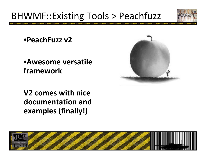# BHWMF::Existing Tools > Peachfuzz



•**PeachFuzz v2**

#### •**Awesome versatile framework**



**V2 comes with nice documentation and examples (finally!)**

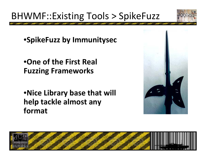

# BHWMF::Existing Tools > SpikeFuzz

•**SpikeFuzz by Immunitysec**

•**One of the First Real Fuzzing Frameworks**

•**Nice Library base that will help tackle almost any format**



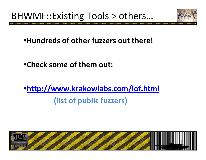

### •**Hundreds of other fuzzers out there!**

•**Check some of them out:**

# •**http://www.krakowlabs.com/lof.html (list of public fuzzers)**

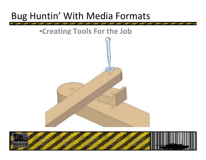# Bug Huntin' With Media Formats



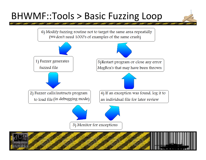## BHWMF::Tools <sup>&</sup>gt; Basic Fuzzing Loop

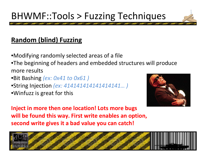# BHWMF::Tools <sup>&</sup>gt; Fuzzing Techniques

#### **Random (blind) Fuzzing**

•Modifying randomly selected areas of <sup>a</sup> file •The beginning of headers and embedded structures will produce more results

- •Bit Bashing *(ex: 0x41 to 0x61 )*
- •String Injection *(ex: 414141414141414141… )*
- •Winfuzz is great for this



**Inject in more then one location! Lots more bugs will be found this way. First write enables an option, second write gives it <sup>a</sup> bad value you can catch!**

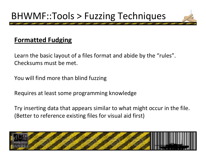# BHWMF::Tools <sup>&</sup>gt; Fuzzing Techniques

#### **Formatted Fudging**

Learn the basic layout of <sup>a</sup> files format and abide by the "rules". Checksums must be met.

You will find more than blind fuzzing

Requires at least some programming knowledge

Try inserting data that appears similar to what might occur in the file. (Better to reference existing files for visual aid first)

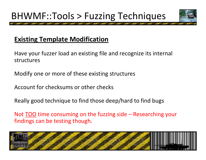

#### **Existing Template Modification**

Have your fuzzer load an existing file and recognize its internal structures

Modify one or more of these existing structures

Account for checksums or other checks

Really good technique to find those deep/hard to find bugs

Not TOO time consuming on the fuzzing side – Researching your findings can be testing though.

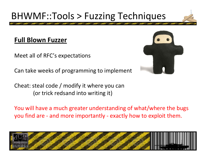# BHWMF::Tools <sup>&</sup>gt; Fuzzing Techniques

#### **Full Blown Fuzzer**

Meet all of RFC's expectations

Can take weeks of programming to implement

Cheat: steal code / modify it where you can (or trick redsand into writing it)

You will have <sup>a</sup> much greater understanding of what/where the bugs you find are ‐ and more importantly ‐ exactly how to exploit them.





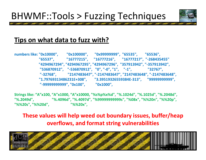

#### **Tips on what data to fuzz with?**

**numbers like: "0x10000", "0x100000", "0x99999999", "65535", "65536", "65537", "16777215", "16777216", "16777217", "‐268435455" "4294967294", "4294967295", "4294967296", "357913942", "‐357913942", "536870912", "‐536870912", "0", "‐0", "1", "‐1", "32767", " ‐32768", "2147483647", "‐2147483647", "2147483648", "‐2147483648", "1.79769313486231E+308", "3.39519326559384E‐313", "99999999999", "‐99999999999", "0x100", "0x1000",**

**Strings like: "A"x100, "A"x1000, "A"x10000, "%s%p%x%d", "%.1024d", "%.1025d", "%.2048d", "%.2049d", "%.4096d", "%.4097d", "%99999999999s", "%08x", "%%20n", "%%20p", "%%20s", "%%20d", "%%20x",**

**These values will help weed out boundary issues, buffer/heap overflows, and format string vulnerabilities**

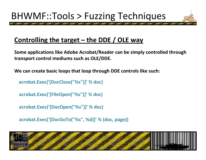#### **Controlling the target – the DDE / OLE way**

**Some applications like Adobe Acrobat/Reader can be simply controlled through transport control mediums such as OLE/DDE.**

**We can create basic loops that loop through DDE controls like such:**

**acrobat.Exec('[DocClose("%s")]' % doc)**

**acrobat.Exec('[FileOpen("%s")]' % doc)**

**acrobat.Exec('[DocOpen("%s")]' % doc)**

**acrobat.Exec('[DocGoTo("%s", %d)]' % (doc, page))**

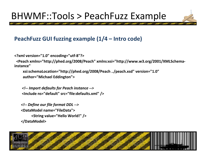#### **PeachFuzz GUI fuzzing example (1/4 – Intro code)**

**<?xml version="1.0" encoding="utf‐8"?>**

**<Peach xmlns="http://phed.org/2008/Peach" xmlns:xsi="http://www.w3.org/2001/XMLSchema‐ instance"**

**xsi:schemaLocation="http://phed.org/2008/Peach ../peach.xsd" version="1.0" author="Michael Eddington">**

*<!‐‐ Import defaults for Peach instance ‐‐<sup>&</sup>gt;* **<Include ns="default" src="file:defaults.xml" />**

*<!‐‐ Define our file format DDL ‐‐<sup>&</sup>gt;* **<DataModel name="FileData"><String value="Hello World!" /> </DataModel>**

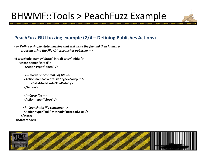#### **PeachFuzz GUI fuzzing example (2/4 – Defining Publishes Actions)**

*<!‐‐ Define <sup>a</sup> simple state machine that will write the file and then launch <sup>a</sup> program using the FileWriterLauncher publisher ‐‐<sup>&</sup>gt;*

```
<StateModel name="State" initialState="Initial"><State name="Initial">
       <Action type="open" />
```

```
<!‐‐ Write out contents of file ‐‐>
<Action name="WriteFile" type="output">
     <DataModel ref="FileData" />
</Action>
```

```
<!‐‐ Close file ‐‐>
<Action type="close" />
```

```
<!‐‐ Launch the file consumer ‐‐>
      <Action type="call" method="notepad.exe"/>
   </State>
</StateModel>
```
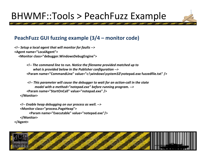#### **PeachFuzz GUI fuzzing example (3/4 – monitor code)**

*<!‐‐ Setup <sup>a</sup> local agent that will monitor for faults ‐‐<sup>&</sup>gt;* **<Agent name="LocalAgent"> <Monitor class="debugger.WindowsDebugEngine">**

> *<!‐‐ The command line to run. Notice the filename provided matched up to what is provided below in the Publisher configuration ‐‐<sup>&</sup>gt;* **<Param name="CommandLine" value="c:\windows\system32\notepad.exe fuzzedfile.txt" />**

*<!‐‐ This parameter will cause the debugger to wait for an action‐call in the state model with a method="notepad.exe" before running program. ‐‐<sup>&</sup>gt;* **<Param name="StartOnCall" value="notepad.exe" /> </Monitor>**

```
<!‐‐ Enable heap debugging on our process as well. ‐‐>
   <Monitor class="process.PageHeap">
         <Param name="Executable" value="notepad.exe"/>
   </Monitor>
</Agent>
```
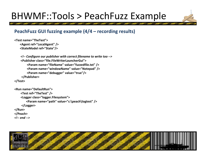#### **PeachFuzz GUI fuzzing example (4/4 – recording results)**

```
<Test name="TheTest"><Agent ref="LocalAgent" />
   <StateModel ref="State"/>
```

```
<!‐‐ Configure our publisher with correct filename to write too ‐‐>
    <Publisher class="file.FileWriterLauncherGui"><Param name="fileName" value="fuzzedfile.txt" />
        <Param name="windowName" value="Notepad" />
        <Param name="debugger" value="true"/>
    </Publisher>
</Test>
```

```
<Run name="DefaultRun">
    <Test ref="TheTest" />
    <Logger class="logger.Filesystem">
       <Param name="path" value="c:\peach\logtest" />
    </Logger>
</Run>
</Peach>
<!‐‐ end ‐‐>
```
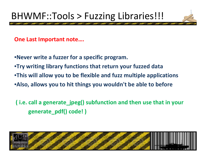# BHWMF::Tools <sup>&</sup>gt; Fuzzing Libraries!!!

**One Last Important note….**

•**Never write <sup>a</sup> fuzzer for <sup>a</sup> specific program.**

•**Try writing library functions that return your fuzzed data**

•**This will allow you to be flexible and fuzz multiple applications**

•**Also, allows you to hit things you wouldn't be able to before**

**( i.e. call <sup>a</sup> generate\_jpeg() subfunction and then use that in your generate\_pdf() code! )**

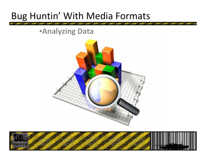## Bug Huntin' With Media Formats

#### •**Analyzing Data**



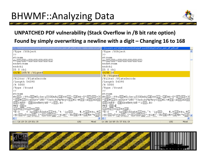

#### **UNPATCHED PDF vulnerability (Stack Overflow in /B bit rate option) Found by simply overwriting a newline with a digit – Changing 16 to 168**

| C:\Settings\ruckuss\Desktop\pdf-sounds\findings\trash\on_open_aiff_pdfa2_1031 - makes adobe exit.pdf | C:\Documents and Settings\ruckuss\Desktop\pdf-sounds\findings\trash\on_open_aiff_pdfa.pdf                                                                                                                                       |
|------------------------------------------------------------------------------------------------------|---------------------------------------------------------------------------------------------------------------------------------------------------------------------------------------------------------------------------------|
| /Type /XObject                                                                                       | /Type /XObject                                                                                                                                                                                                                  |
| >>                                                                                                   | ▷                                                                                                                                                                                                                               |
| stream                                                                                               | Istream                                                                                                                                                                                                                         |
| អះ: (02) (08) 0 (00) (00) (00) (01) ar                                                               | H% (02) (08) 0 (00) (00) (00) (00) (01)                                                                                                                                                                                         |
| endstream                                                                                            | endstream                                                                                                                                                                                                                       |
| endobj                                                                                               | endobj                                                                                                                                                                                                                          |
| 25 O obj                                                                                             | 25 0 obj                                                                                                                                                                                                                        |
| $\lt$ /B 168/E /Signed                                                                               | < в 16</td                                                                                                                                                                                                                      |
|                                                                                                      | /E /Signed                                                                                                                                                                                                                      |
| /Filter /FlateDecode                                                                                 | /Filter /FlateDecode                                                                                                                                                                                                            |
| /Length 54390                                                                                        | /Length 54390                                                                                                                                                                                                                   |
| /R 5000                                                                                              | $/R$ 5000                                                                                                                                                                                                                       |
| Type /Sound                                                                                          | /Type /Sound                                                                                                                                                                                                                    |
| >>                                                                                                   | ∣>>                                                                                                                                                                                                                             |
| stream                                                                                               | İstream                                                                                                                                                                                                                         |
|                                                                                                      | H%OC)<{TTuO2)€O¿ûœ{çÎÌOOAÁÇ(IE)SS(II)-(IF)Hé-Oº(O7)O3)+3(  H%OC)<{TTuO2)€O¿ûœ{çÎÌOOAÁÇ(IE)SS(II)-(IF)Hé-Oº(O7)O3)+3(                                                                                                            |
|                                                                                                      | ″@4)w@351mOùX%°2ÑÝ`73sßïßz¾s¾óýó@1)€1≈#@4)(à@5)AO@0 ″@4)w@351mOùX%°2ÑÝ`73sßïßz¾s¾óýó@1)€1≈#@4)(à@5)AO@0                                                                                                                         |
| $(06)$ fÁÈ@-¨ $(0E)$ OD‡ÑNTfêÑ''1 $(03)$ ,ÈC                                                         | $\overline{06}$ fÁÈ $\overline{0}$ -" $\overline{0}$ E)OD‡ÑNTfêÑ''1 $\overline{03}$ , ÈC                                                                                                                                        |
| ð€å`(OB)x                                                                                            | ő€å`(0B)x                                                                                                                                                                                                                       |
| $(10)$ H $(07)$ ü $(13)$ ‡A $(1E)$                                                                   | $(10)$ H $(07)$ ü $(13)$ ‡A $(1E)$                                                                                                                                                                                              |
|                                                                                                      |                                                                                                                                                                                                                                 |
|                                                                                                      |                                                                                                                                                                                                                                 |
|                                                                                                      | w ThpwspoAuaeAU1JTe, ** `ip(OC), ¶,T(IO) + Eu, ð(I *Ñ ~ o ThpOB) sAûaêA(II)Tê, ** `ip(OC), ¶,T(IO) + Eu, ð(I<br>;G](OZ)qÎVÇk(O5),̰(OI)(O6)(12) * ElÆÓ - @s(OE)z¶ = (1B)¶R "*{1O} ;G](OZ)qÎVÇk(O5),̰(OI)(O6)(12) * "ElÆÓ - @s(OE |
| Ln: 1 Col: 1/9 Ch: 1/9 EOL: CR<br>Mixed<br>1252                                                      | Ln: 186 Col: 9/9 Ch: 7/7 EOL: CR<br>1252<br>Mixed                                                                                                                                                                               |

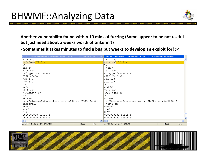### BHWMF::Analyzing Data



**Another vulnerability found within 10 mins of fuzzing (Some appear to be not useful but just need about a weeks worth of tinkerin'!)**

**‐ Sometimes it takes minutes to find a bug but weeks to develop an exploit for! :P**

| C:\ttings\ruckuss\Desktop\pdf-sounds\findings\trash\on_open_aiff_pdfa - FEEEFEEE crash on esi DEC.pdf | C:\Documents and Settings\ruckuss\Desktop\pdf-sounds\findings\trash\on_open_aiff_pdfa.pdf |  |
|-------------------------------------------------------------------------------------------------------|-------------------------------------------------------------------------------------------|--|
| 71 O obj                                                                                              | 71 0 obj                                                                                  |  |
| $< 72 0 R$                                                                                            | $< 72 0 R$                                                                                |  |
| >>−                                                                                                   | ⊳≻                                                                                        |  |
| endobj                                                                                                | endobj                                                                                    |  |
| 72 O obj                                                                                              | 72 0 obj                                                                                  |  |
| < <td>&lt;<td></td></td>                                                                              | < <td></td>                                                                               |  |
| /TR2 /Default                                                                                         | /TR2 /Default                                                                             |  |
| Vca 1.0                                                                                               | $/ca$ 1.0                                                                                 |  |
| $/CA$ 1.0                                                                                             | $/CA$ 1.0                                                                                 |  |
| >>∴                                                                                                   | >>                                                                                        |  |
| endobi                                                                                                | endobj                                                                                    |  |
| 73 O obj                                                                                              | 73 O obj                                                                                  |  |
| < <td><math>&lt;ength 49</math></td> <td></td>                                                        | $<ength 49$                                                                               |  |
| >>⊣                                                                                                   | ⊳≻                                                                                        |  |
| stream                                                                                                | stream                                                                                    |  |
| q /RelativeColorimetric ri /NxGS0 qs /NxX0 Do Q                                                       | q /RelativeColorimetric ri /NxGS0 qs /NxX0 Do Q                                           |  |
| endstream                                                                                             | endstream                                                                                 |  |
| endobj                                                                                                | endobj                                                                                    |  |
| xref                                                                                                  | xref                                                                                      |  |
| 0.74                                                                                                  | IO 74                                                                                     |  |
| 0000000000 65535 f                                                                                    | 0000000000 65535 f                                                                        |  |
| 0000000000 00000 £                                                                                    | 00000000000 00000 f                                                                       |  |
| $\vert \vert$                                                                                         | $>$ $ <$                                                                                  |  |
| Ln: 1548 Col: 1/19 Ch: 1/19 EOL: CRLF<br>1252<br>Mixed                                                | Ln: 1526 Col: 7/7 Ch: 7/7 EOL: CR<br>1252<br>Mixed                                        |  |